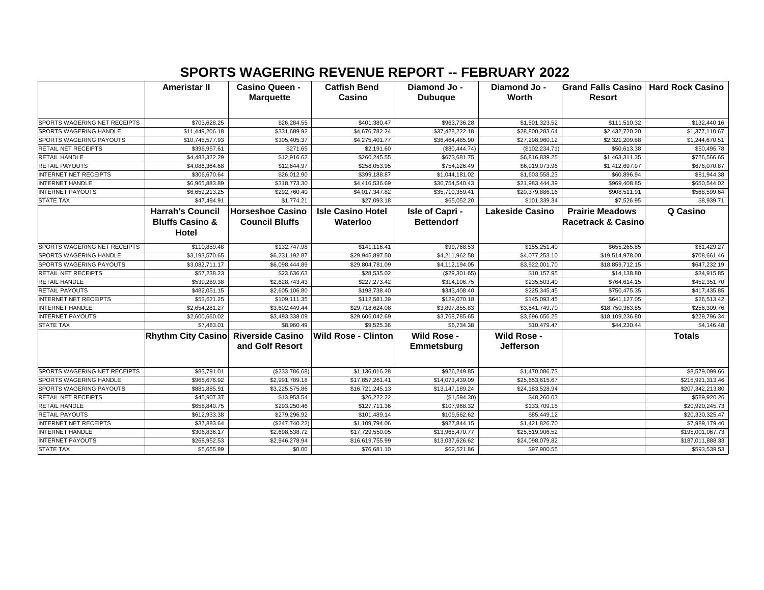## **SPORTS WAGERING REVENUE REPORT -- FEBRUARY 2022**

|                                | Ameristar II               | <b>Casino Queen -</b>   | <b>Catfish Bend</b>        | Diamond Jo -                | Diamond Jo -           | Grand Falls Casino   Hard Rock Casino |                  |
|--------------------------------|----------------------------|-------------------------|----------------------------|-----------------------------|------------------------|---------------------------------------|------------------|
|                                |                            | <b>Marquette</b>        | Casino                     | <b>Dubuque</b>              | <b>Worth</b>           | <b>Resort</b>                         |                  |
|                                |                            |                         |                            |                             |                        |                                       |                  |
| SPORTS WAGERING NET RECEIPTS   | \$703,628.25               | \$26,284.55             | \$401,380.47               | \$963,736.28                | \$1,501,323.52         | \$111,510.32                          | \$132,440.16     |
| <b>SPORTS WAGERING HANDLE</b>  | \$11,449,206.18            | \$331,689.92            | \$4,676,782.24             | \$37,428,222.18             | \$28,800,283.64        | \$2,432,720.20                        | \$1,377,110.67   |
| SPORTS WAGERING PAYOUTS        | \$10,745,577.93            | \$305,405.37            | \$4,275,401.77             | \$36,464,485.90             | \$27,298,960.12        | \$2,321,209.88                        | \$1,244,670.51   |
| RETAIL NET RECEIPTS            | \$396,957.61               | \$271.65                | \$2,191.60                 | (\$80,444.74)               | (\$102, 234.71)        | \$50,613.38                           | \$50,495.78      |
| <b>RETAIL HANDLE</b>           | \$4,483,322.29             | \$12,916.62             | \$260,245.55               | \$673,681.75                | \$6,816,839.25         | \$1,463,311.35                        | \$726,566.65     |
| <b>RETAIL PAYOUTS</b>          | \$4,086,364.68             | \$12,644.97             | \$258,053.95               | \$754,126.49                | \$6,919,073.96         | \$1,412,697.97                        | \$676,070.87     |
| <b>INTERNET NET RECEIPTS</b>   | \$306,670.64               | \$26,012.90             | \$399,188.87               | \$1,044,181.02              | \$1,603,558.23         | \$60,896.94                           | \$81,944.38      |
| <b>INTERNET HANDLE</b>         | \$6,965,883.89             | \$318,773.30            | \$4,416,536.69             | $\overline{$36,754,540.43}$ | \$21,983,444.39        | \$969,408.85                          | \$650,544.02     |
| <b>INTERNET PAYOUTS</b>        | \$6,659,213.25             | \$292,760.40            | \$4,017,347.82             | \$35,710,359.41             | \$20,379,886.16        | \$908,511.91                          | \$568,599.64     |
| <b>STATE TAX</b>               | \$47,494.91                | \$1,774.21              | \$27,093.18                | \$65,052.20                 | \$101,339.34           | \$7,526.95                            | \$8,939.71       |
|                                | <b>Harrah's Council</b>    | <b>Horseshoe Casino</b> | <b>Isle Casino Hotel</b>   | Isle of Capri -             | <b>Lakeside Casino</b> | <b>Prairie Meadows</b>                | Q Casino         |
|                                | <b>Bluffs Casino &amp;</b> | <b>Council Bluffs</b>   | Waterloo                   | <b>Bettendorf</b>           |                        | <b>Racetrack &amp; Casino</b>         |                  |
|                                | Hotel                      |                         |                            |                             |                        |                                       |                  |
| SPORTS WAGERING NET RECEIPTS   | \$110,859.48               | \$132,747.98            | \$141,116.41               | \$99,768.53                 | \$155,251.40           | \$655,265.85                          | \$61,429.27      |
| SPORTS WAGERING HANDLE         | \$3,193,570.65             | \$6,231,192.87          | \$29,945,897.50            | \$4,211,962.58              | \$4,077,253.10         | \$19,514,978.00                       | \$708,661.46     |
| SPORTS WAGERING PAYOUTS        | \$3,082,711.17             | \$6,098,444.89          | \$29,804,781.09            | \$4,112,194.05              | \$3,922,001.70         | \$18,859,712.15                       | \$647,232.19     |
| <b>RETAIL NET RECEIPTS</b>     | \$57,238.23                | \$23,636.63             | \$28,535.02                | (\$29,301.65)               | \$10,157.95            | \$14,138.80                           | \$34,915.85      |
| <b>RETAIL HANDLE</b>           | \$539,289.38               | \$2,628,743.43          | \$227,273.42               | \$314,106.75                | \$235,503.40           | \$764,614.15                          | \$452,351.70     |
| RETAIL PAYOUTS                 | \$482,051.15               | \$2,605,106.80          | \$198,738.40               | \$343,408.40                | \$225,345.45           | \$750,475.35                          | \$417,435.85     |
| <b>INTERNET NET RECEIPTS</b>   | \$53,621.25                | \$109,111.35            | \$112,581.39               | \$129,070.18                | \$145,093.45           | \$641,127.05                          | \$26,513.42      |
| <b>INTERNET HANDLE</b>         | \$2,654,281.27             | \$3,602,449.44          | \$29,718,624.08            | \$3,897,855.83              | \$3,841,749.70         | \$18,750,363.85                       | \$256,309.76     |
| <b>INTERNET PAYOUTS</b>        | \$2,600,660.02             | \$3,493,338.09          | \$29,606,042.69            | \$3,768,785.65              | \$3,696,656.25         | \$18,109,236.80                       | \$229,796.34     |
| <b>STATE TAX</b>               | \$7,483.01                 | \$8,960.49              | \$9,525.36                 | \$6,734.38                  | \$10,479.47            | \$44,230.44                           | \$4,146.48       |
|                                | <b>Rhythm City Casino</b>  | <b>Riverside Casino</b> | <b>Wild Rose - Clinton</b> | <b>Wild Rose -</b>          | Wild Rose -            |                                       | <b>Totals</b>    |
|                                |                            | and Golf Resort         |                            | <b>Emmetsburg</b>           | Jefferson              |                                       |                  |
|                                |                            |                         |                            |                             |                        |                                       |                  |
| SPORTS WAGERING NET RECEIPTS   | \$83,791.01                | (\$233,786.68)          | \$1,136,016.28             | \$926,249.85                | \$1,470,086.73         |                                       | \$8,579,099.66   |
| SPORTS WAGERING HANDLE         | \$965,676.92               | \$2,991,789.18          | \$17,857,261.41            | \$14,073,439.09             | \$25,653,615.67        |                                       | \$215,921,313.46 |
| <b>SPORTS WAGERING PAYOUTS</b> | \$881,885.91               | \$3,225,575.86          | \$16,721,245.13            | \$13,147,189.24             | \$24,183,528.94        |                                       | \$207,342,213.80 |
| RETAIL NET RECEIPTS            | \$45,907.37                | \$13,953.54             | \$26,222.22                | (\$1,594.30)                | \$48,260.03            |                                       | \$589,920.26     |
| RETAIL HANDLE                  | \$658,840.75               | \$293,250.46            | \$127,711.36               | \$107,968.32                | \$133,709.15           |                                       | \$20,920,245.73  |
| RETAIL PAYOUTS                 | \$612,933.38               | \$279,296.92            | \$101,489.14               | \$109,562.62                | \$85,449.12            |                                       | \$20,330,325.47  |
| <b>INTERNET NET RECEIPTS</b>   | \$37,883.64                | (\$247,740.22)          | \$1,109,794.06             | \$927,844.15                | \$1,421,826.70         |                                       | \$7,989,179.40   |
| <b>INTERNET HANDLE</b>         | \$306,836.17               | \$2,698,538.72          | \$17,729,550.05            | \$13,965,470.77             | \$25,519,906.52        |                                       | \$195,001,067.73 |
| <b>INTERNET PAYOUTS</b>        | \$268,952.53               | \$2,946,278.94          | \$16,619,755.99            | \$13,037,626.62             | \$24,098,079.82        |                                       | \$187,011,888.33 |
| <b>STATE TAX</b>               | \$5,655.89                 | \$0.00                  | \$76,681.10                | \$62,521.86                 | \$97,900.55            |                                       | \$593,539.53     |